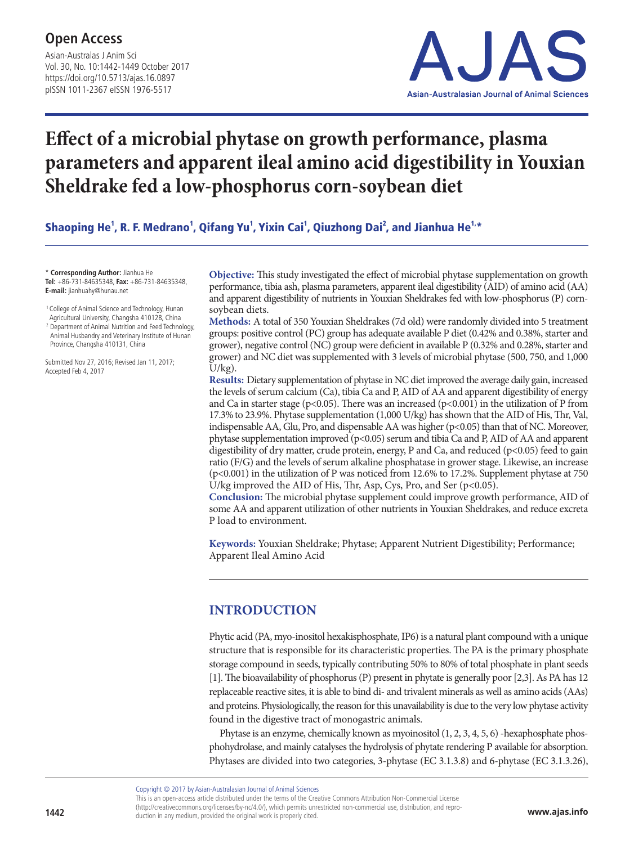Asian-Australas J Anim Sci Vol. 30, No. 10:1442-1449 October 2017 https://doi.org/10.5713/ajas.16.0897 pISSN 1011-2367 eISSN 1976-5517



# **Effect of a microbial phytase on growth performance, plasma parameters and apparent ileal amino acid digestibility in Youxian Sheldrake fed a low-phosphorus corn-soybean diet**

Shaoping He<sup>1</sup>, R. F. Medrano<sup>1</sup>, Qifang Yu<sup>1</sup>, Yixin Cai<sup>1</sup>, Qiuzhong Dai<sup>2</sup>, and Jianhua He<sup>1,</sup>\*

\* **Corresponding Author:** Jianhua He **Tel:** +86-731-84635348, **Fax:** +86-731-84635348, **E-mail:** jianhuahy@hunau.net

<sup>1</sup> College of Animal Science and Technology, Hunan Agricultural University, Changsha 410128, China

<sup>2</sup> Department of Animal Nutrition and Feed Technology, Animal Husbandry and Veterinary Institute of Hunan

Province, Changsha 410131, China

Submitted Nov 27, 2016; Revised Jan 11, 2017; Accepted Feb 4, 2017

**Objective:** This study investigated the effect of microbial phytase supplementation on growth performance, tibia ash, plasma parameters, apparent ileal digestibility (AID) of amino acid (AA) and apparent digestibility of nutrients in Youxian Sheldrakes fed with low-phosphorus (P) cornsoybean diets.

**Methods:** A total of 350 Youxian Sheldrakes (7d old) were randomly divided into 5 treatment groups: positive control (PC) group has adequate available P diet (0.42% and 0.38%, starter and grower), negative control (NC) group were deficient in available P (0.32% and 0.28%, starter and grower) and NC diet was supplemented with 3 levels of microbial phytase (500, 750, and 1,000  $U/kg$ ).

**Results:** Dietary supplementation of phytase in NC diet improved the average daily gain, increased the levels of serum calcium (Ca), tibia Ca and P, AID of AA and apparent digestibility of energy and Ca in starter stage ( $p<0.05$ ). There was an increased ( $p<0.001$ ) in the utilization of P from 17.3% to 23.9%. Phytase supplementation (1,000 U/kg) has shown that the AID of His, Thr, Val, indispensable AA, Glu, Pro, and dispensable AA was higher  $(p<0.05)$  than that of NC. Moreover, phytase supplementation improved (p<0.05) serum and tibia Ca and P, AID of AA and apparent digestibility of dry matter, crude protein, energy, P and Ca, and reduced (p<0.05) feed to gain ratio (F/G) and the levels of serum alkaline phosphatase in grower stage. Likewise, an increase (p<0.001) in the utilization of P was noticed from 12.6% to 17.2%. Supplement phytase at 750 U/kg improved the AID of His, Thr, Asp, Cys, Pro, and Ser  $(p<0.05)$ .

**Conclusion:** The microbial phytase supplement could improve growth performance, AID of some AA and apparent utilization of other nutrients in Youxian Sheldrakes, and reduce excreta P load to environment.

**Keywords:** Youxian Sheldrake; Phytase; Apparent Nutrient Digestibility; Performance; Apparent Ileal Amino Acid

## **INTRODUCTION**

Phytic acid (PA, myo-inositol hexakisphosphate, IP6) is a natural plant compound with a unique structure that is responsible for its characteristic properties. The PA is the primary phosphate storage compound in seeds, typically contributing 50% to 80% of total phosphate in plant seeds [1]. The bioavailability of phosphorus (P) present in phytate is generally poor [2,3]. As PA has 12 replaceable reactive sites, it is able to bind di- and trivalent minerals as well as amino acids (AAs) and proteins. Physiologically, the reason for this unavailability is due to the very low phytase activity found in the digestive tract of monogastric animals.

Phytase is an enzyme, chemically known as myoinositol (1, 2, 3, 4, 5, 6) -hexaphosphate phosphohydrolase, and mainly catalyses the hydrolysis of phytate rendering P available for absorption. Phytases are divided into two categories, 3-phytase (EC 3.1.3.8) and 6-phytase (EC 3.1.3.26),

Copyright © 2017 by Asian-Australasian Journal of Animal Sciences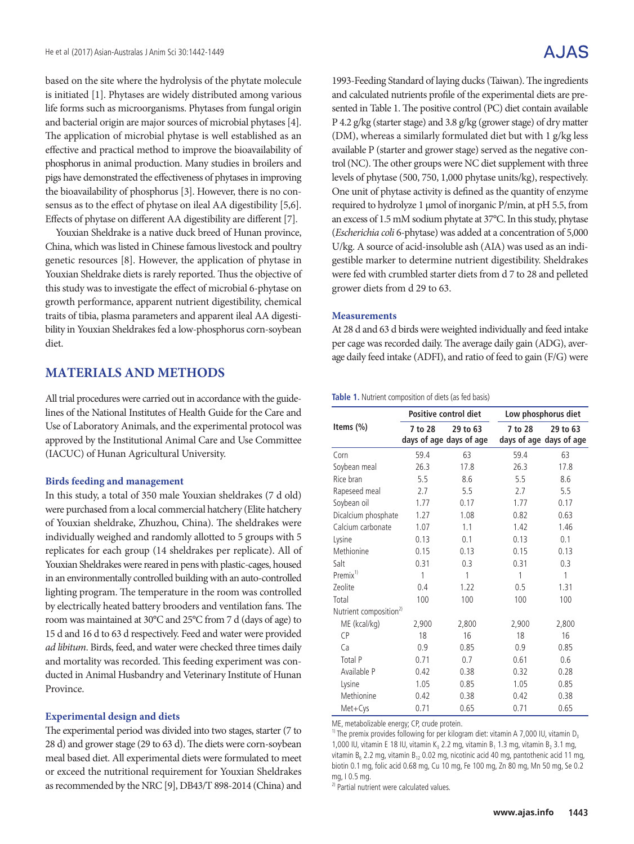based on the site where the hydrolysis of the phytate molecule is initiated [1]. Phytases are widely distributed among various life forms such as microorganisms. Phytases from fungal origin and bacterial origin are major sources of microbial phytases [4]. The application of microbial phytase is well established as an effective and practical method to improve the bioavailability of phosphorus in animal production. Many studies in broilers and pigs have demonstrated the effectiveness of phytases in improving the bioavailability of phosphorus [3]. However, there is no consensus as to the effect of phytase on ileal AA digestibility [5,6]. Effects of phytase on different AA digestibility are different [7].

Youxian Sheldrake is a native duck breed of Hunan province, China, which was listed in Chinese famous livestock and poultry genetic resources [8]. However, the application of phytase in Youxian Sheldrake diets is rarely reported. Thus the objective of this study was to investigate the effect of microbial 6-phytase on growth performance, apparent nutrient digestibility, chemical traits of tibia, plasma parameters and apparent ileal AA digestibility in Youxian Sheldrakes fed a low-phosphorus corn-soybean diet.

## **MATERIALS AND METHODS**

All trial procedures were carried out in accordance with the guidelines of the National Institutes of Health Guide for the Care and Use of Laboratory Animals, and the experimental protocol was approved by the Institutional Animal Care and Use Committee (IACUC) of Hunan Agricultural University.

#### **Birds feeding and management**

In this study, a total of 350 male Youxian sheldrakes (7 d old) were purchased from a local commercial hatchery (Elite hatchery of Youxian sheldrake, Zhuzhou, China). The sheldrakes were individually weighed and randomly allotted to 5 groups with 5 replicates for each group (14 sheldrakes per replicate). All of Youxian Sheldrakes were reared in pens with plastic-cages, housed in an environmentally controlled building with an auto-controlled lighting program. The temperature in the room was controlled by electrically heated battery brooders and ventilation fans. The room was maintained at 30°C and 25°C from 7 d (days of age) to 15 d and 16 d to 63 d respectively. Feed and water were provided *ad libitum*. Birds, feed, and water were checked three times daily and mortality was recorded. This feeding experiment was conducted in Animal Husbandry and Veterinary Institute of Hunan Province.

#### **Experimental design and diets**

The experimental period was divided into two stages, starter (7 to 28 d) and grower stage (29 to 63 d). The diets were corn-soybean meal based diet. All experimental diets were formulated to meet or exceed the nutritional requirement for Youxian Sheldrakes as recommended by the NRC [9], DB43/T 898-2014 (China) and

## A.JAS

1993-Feeding Standard of laying ducks (Taiwan). The ingredients and calculated nutrients profile of the experimental diets are presented in Table 1. The positive control (PC) diet contain available P 4.2 g/kg (starter stage) and 3.8 g/kg (grower stage) of dry matter (DM), whereas a similarly formulated diet but with 1 g/kg less available P (starter and grower stage) served as the negative control (NC). The other groups were NC diet supplement with three levels of phytase (500, 750, 1,000 phytase units/kg), respectively. One unit of phytase activity is defined as the quantity of enzyme required to hydrolyze 1 μmol of inorganic P/min, at pH 5.5, from an excess of 1.5 mM sodium phytate at 37°C. In this study, phytase (*Escherichia coli* 6-phytase) was added at a concentration of 5,000 U/kg. A source of acid-insoluble ash (AIA) was used as an indigestible marker to determine nutrient digestibility. Sheldrakes were fed with crumbled starter diets from d 7 to 28 and pelleted grower diets from d 29 to 63.

#### **Measurements**

At 28 d and 63 d birds were weighted individually and feed intake per cage was recorded daily. The average daily gain (ADG), average daily feed intake (ADFI), and ratio of feed to gain (F/G) were

#### **Table 1.** Nutrient composition of diets (as fed basis)

|                                    |                                                | <b>Positive control diet</b> | Low phosphorus diet |                                     |  |  |
|------------------------------------|------------------------------------------------|------------------------------|---------------------|-------------------------------------|--|--|
| Items (%)                          | 7 to 28<br>29 to 63<br>days of age days of age |                              | 7 to 28             | 29 to 63<br>days of age days of age |  |  |
| Corn                               | 59.4                                           | 63                           | 59.4                | 63                                  |  |  |
| Soybean meal                       | 26.3                                           | 17.8                         | 26.3                | 17.8                                |  |  |
| Rice bran                          | 5.5                                            | 8.6                          | 5.5                 | 8.6                                 |  |  |
| Rapeseed meal                      | 2.7                                            | 5.5                          | 2.7                 | 5.5                                 |  |  |
| Soybean oil                        | 1.77                                           | 0.17                         | 1.77                | 0.17                                |  |  |
| Dicalcium phosphate                | 1.27                                           | 1.08                         | 0.82                | 0.63                                |  |  |
| Calcium carbonate                  | 1.07                                           | 1.1                          | 1.42                | 1.46                                |  |  |
| Lysine                             | 0.13                                           | 0.1                          | 0.13                | 0.1                                 |  |  |
| Methionine                         | 0.15                                           | 0.13                         | 0.15                | 0.13                                |  |  |
| Salt                               | 0.31                                           | 0.3                          | 0.31                | 0.3                                 |  |  |
| Premix <sup>1)</sup>               | 1                                              | 1                            | 1                   | 1                                   |  |  |
| Zeolite                            | 0.4                                            | 1.22                         | 0.5                 | 1.31                                |  |  |
| Total                              | 100                                            | 100                          | 100                 | 100                                 |  |  |
| Nutrient composition <sup>2)</sup> |                                                |                              |                     |                                     |  |  |
| ME (kcal/kg)                       | 2,900                                          | 2,800                        | 2,900               | 2,800                               |  |  |
| CP                                 | 18                                             | 16                           | 18                  | 16                                  |  |  |
| Ca                                 | 0.9                                            | 0.85                         | 0.9                 | 0.85                                |  |  |
| Total P                            | 0.71                                           | 0.7                          | 0.61                | 0.6                                 |  |  |
| Available P                        | 0.42                                           | 0.38                         | 0.32                | 0.28                                |  |  |
| Lysine                             | 1.05                                           | 0.85                         | 1.05                | 0.85                                |  |  |
| Methionine                         | 0.42                                           | 0.38                         | 0.42                | 0.38                                |  |  |
| Met+Cys                            | 0.71                                           | 0.65                         | 0.71                | 0.65                                |  |  |

ME, metabolizable energy; CP, crude protein.

<sup>1)</sup> The premix provides following for per kilogram diet: vitamin A 7,000 IU, vitamin D<sub>3</sub> 1,000 IU, vitamin E 18 IU, vitamin K<sub>3</sub> 2.2 mg, vitamin B<sub>1</sub> 1.3 mg, vitamin B<sub>2</sub> 3.1 mg, vitamin  $B_6$  2.2 mg, vitamin  $B_{12}$  0.02 mg, nicotinic acid 40 mg, pantothenic acid 11 mg, biotin 0.1 mg, folic acid 0.68 mg, Cu 10 mg, Fe 100 mg, Zn 80 mg, Mn 50 mg, Se 0.2 mg, I 0.5 mg.

<sup>2)</sup> Partial nutrient were calculated values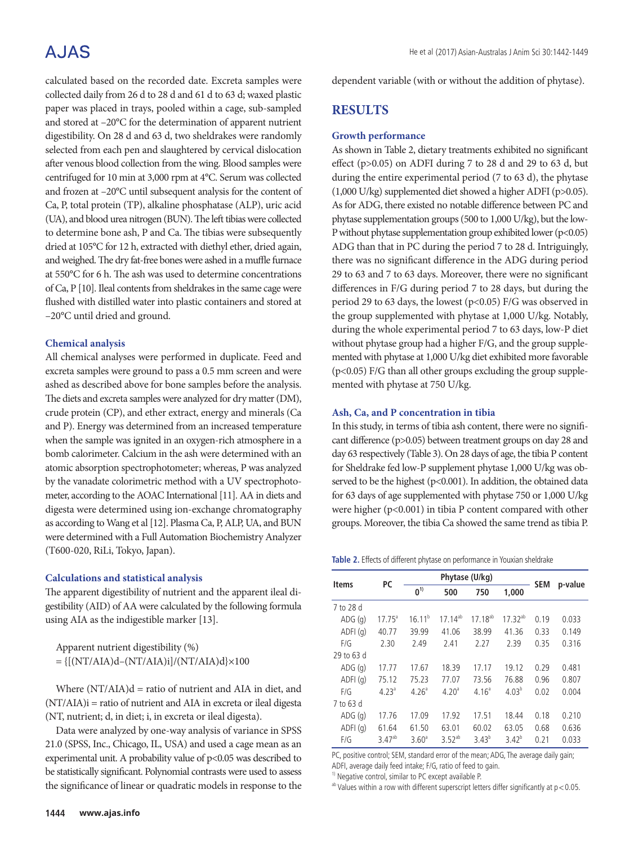# **AJAS**

calculated based on the recorded date. Excreta samples were collected daily from 26 d to 28 d and 61 d to 63 d; waxed plastic paper was placed in trays, pooled within a cage, sub-sampled and stored at –20°C for the determination of apparent nutrient digestibility. On 28 d and 63 d, two sheldrakes were randomly selected from each pen and slaughtered by cervical dislocation after venous blood collection from the wing. Blood samples were centrifuged for 10 min at 3,000 rpm at 4°C. Serum was collected and frozen at –20°C until subsequent analysis for the content of Ca, P, total protein (TP), alkaline phosphatase (ALP), uric acid (UA), and blood urea nitrogen (BUN). The left tibias were collected to determine bone ash, P and Ca. The tibias were subsequently dried at 105°C for 12 h, extracted with diethyl ether, dried again, and weighed. The dry fat-free bones were ashed in a muffle furnace at 550°C for 6 h. The ash was used to determine concentrations of Ca, P [10]. Ileal contents from sheldrakes in the same cage were flushed with distilled water into plastic containers and stored at –20°C until dried and ground.

#### **Chemical analysis**

All chemical analyses were performed in duplicate. Feed and excreta samples were ground to pass a 0.5 mm screen and were ashed as described above for bone samples before the analysis. The diets and excreta samples were analyzed for dry matter (DM), crude protein (CP), and ether extract, energy and minerals (Ca and P). Energy was determined from an increased temperature when the sample was ignited in an oxygen-rich atmosphere in a bomb calorimeter. Calcium in the ash were determined with an atomic absorption spectrophotometer; whereas, P was analyzed by the vanadate colorimetric method with a UV spectrophotometer, according to the AOAC International [11]. AA in diets and digesta were determined using ion-exchange chromatography as according to Wang et al [12]. Plasma Ca, P, ALP, UA, and BUN were determined with a Full Automation Biochemistry Analyzer (T600-020, RiLi, Tokyo, Japan).

#### **Calculations and statistical analysis**

The apparent digestibility of nutrient and the apparent ileal digestibility (AID) of AA were calculated by the following formula using AIA as the indigestible marker [13].

Apparent nutrient digestibility (%)  $= \{[(NT/ALA)d-(NT/ALA)i]/(NT/ALA)d\}\times100$ 

Where  $(NT/ALA)d =$  ratio of nutrient and AIA in diet, and (NT/AIA)i = ratio of nutrient and AIA in excreta or ileal digesta (NT, nutrient; d, in diet; i, in excreta or ileal digesta).

Data were analyzed by one-way analysis of variance in SPSS 21.0 (SPSS, Inc., Chicago, IL, USA) and used a cage mean as an experimental unit. A probability value of p<0.05 was described to be statistically significant. Polynomial contrasts were used to assess the significance of linear or quadratic models in response to the

### **RESULTS**

#### **Growth performance**

As shown in Table 2, dietary treatments exhibited no significant effect (p>0.05) on ADFI during 7 to 28 d and 29 to 63 d, but during the entire experimental period (7 to 63 d), the phytase (1,000 U/kg) supplemented diet showed a higher ADFI (p>0.05). As for ADG, there existed no notable difference between PC and phytase supplementation groups (500 to 1,000 U/kg), but the low-P without phytase supplementation group exhibited lower (p<0.05) ADG than that in PC during the period 7 to 28 d. Intriguingly, there was no significant difference in the ADG during period 29 to 63 and 7 to 63 days. Moreover, there were no significant differences in F/G during period 7 to 28 days, but during the period 29 to 63 days, the lowest (p<0.05) F/G was observed in the group supplemented with phytase at 1,000 U/kg. Notably, during the whole experimental period 7 to 63 days, low-P diet without phytase group had a higher F/G, and the group supplemented with phytase at 1,000 U/kg diet exhibited more favorable (p<0.05) F/G than all other groups excluding the group supplemented with phytase at 750 U/kg.

#### **Ash, Ca, and P concentration in tibia**

In this study, in terms of tibia ash content, there were no significant difference (p>0.05) between treatment groups on day 28 and day 63 respectively (Table 3). On 28 days of age, the tibia P content for Sheldrake fed low-P supplement phytase 1,000 U/kg was observed to be the highest (p<0.001). In addition, the obtained data for 63 days of age supplemented with phytase 750 or 1,000 U/kg were higher (p<0.001) in tibia P content compared with other groups. Moreover, the tibia Ca showed the same trend as tibia P.

**Table 2.** Effects of different phytase on performance in Youxian sheldrake

| <b>Items</b> | <b>PC</b>         | Phytase (U/kg)    |                   |                   |              |            |         |
|--------------|-------------------|-------------------|-------------------|-------------------|--------------|------------|---------|
|              |                   | 0 <sup>1</sup>    | 500               | 750               | 1,000        | <b>SEM</b> | p-value |
| 7 to 28 d    |                   |                   |                   |                   |              |            |         |
| ADG(q)       | $17.75^{\circ}$   | $16.11^{b}$       | $17.14^{ab}$      | $17.18^{ab}$      | $17.32^{ab}$ | 0.19       | 0.033   |
| ADFI(q)      | 40.77             | 39.99             | 41.06             | 38.99             | 41.36        | 0.33       | 0.149   |
| F/G          | 2.30              | 2.49              | 2.41              | 2.27              | 2.39         | 0.35       | 0.316   |
| 29 to 63 d   |                   |                   |                   |                   |              |            |         |
| ADG(q)       | 17.77             | 17.67             | 18.39             | 17.17             | 19.12        | 0.29       | 0.481   |
| ADFI(q)      | 75.12             | 75.23             | 77.07             | 73.56             | 76.88        | 0.96       | 0.807   |
| F/G          | 4.23 <sup>a</sup> | 4.26 <sup>a</sup> | 4.20 <sup>a</sup> | 4.16 <sup>a</sup> | $4.03^{b}$   | 0.02       | 0.004   |
| 7 to 63 d    |                   |                   |                   |                   |              |            |         |
| ADG(q)       | 17.76             | 17.09             | 17.92             | 17.51             | 18.44        | 0.18       | 0.210   |
| ADFI(q)      | 61.64             | 61.50             | 63.01             | 60.02             | 63.05        | 0.68       | 0.636   |
| F/G          | $3.47^{ab}$       | 3.60 <sup>a</sup> | $3.52^{ab}$       | $3.43^{b}$        | $3.42^{b}$   | 0.21       | 0.033   |

PC, positive control; SEM, standard error of the mean; ADG, The average daily gain; ADFI, average daily feed intake; F/G, ratio of feed to gain.

<sup>1)</sup> Negative control, similar to PC except available P.

 $a<sup>b</sup>$  Values within a row with different superscript letters differ significantly at  $p < 0.05$ .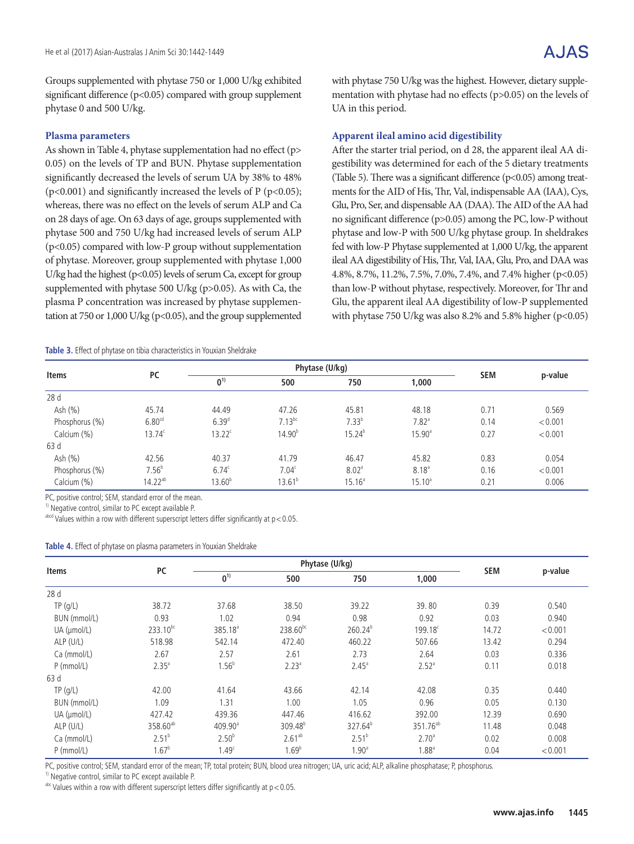Groups supplemented with phytase 750 or 1,000 U/kg exhibited significant difference (p<0.05) compared with group supplement phytase 0 and 500 U/kg.

### **Plasma parameters**

As shown in Table 4, phytase supplementation had no effect (p> 0.05) on the levels of TP and BUN. Phytase supplementation significantly decreased the levels of serum UA by 38% to 48%  $(p<0.001)$  and significantly increased the levels of P ( $p<0.05$ ); whereas, there was no effect on the levels of serum ALP and Ca on 28 days of age. On 63 days of age, groups supplemented with phytase 500 and 750 U/kg had increased levels of serum ALP (p<0.05) compared with low-P group without supplementation of phytase. Moreover, group supplemented with phytase 1,000 U/kg had the highest (p<0.05) levels of serum Ca, except for group supplemented with phytase 500 U/kg (p>0.05). As with Ca, the plasma P concentration was increased by phytase supplementation at 750 or 1,000 U/kg (p<0.05), and the group supplemented

#### **Table 3.** Effect of phytase on tibia characteristics in Youxian Sheldrake

with phytase 750 U/kg was the highest. However, dietary supplementation with phytase had no effects (p>0.05) on the levels of UA in this period.

### **Apparent ileal amino acid digestibility**

After the starter trial period, on d 28, the apparent ileal AA digestibility was determined for each of the 5 dietary treatments (Table 5). There was a significant difference  $(p<0.05)$  among treatments for the AID of His, Thr, Val, indispensable AA (IAA), Cys, Glu, Pro, Ser, and dispensable AA (DAA). The AID of the AA had no significant difference (p>0.05) among the PC, low-P without phytase and low-P with 500 U/kg phytase group. In sheldrakes fed with low-P Phytase supplemented at 1,000 U/kg, the apparent ileal AA digestibility of His, Thr, Val, IAA, Glu, Pro, and DAA was 4.8%, 8.7%, 11.2%, 7.5%, 7.0%, 7.4%, and 7.4% higher (p<0.05) than low-P without phytase, respectively. Moreover, for Thr and Glu, the apparent ileal AA digestibility of low-P supplemented with phytase 750 U/kg was also 8.2% and 5.8% higher ( $p<0.05$ )

| <b>Items</b>   |                    | Phytase (U/kg) |                    |                   |                     |            |         |
|----------------|--------------------|----------------|--------------------|-------------------|---------------------|------------|---------|
|                | <b>PC</b>          | 0 <sup>1</sup> | 500                | 750               | 1,000               | <b>SEM</b> | p-value |
| 28d            |                    |                |                    |                   |                     |            |         |
| Ash (%)        | 45.74              | 44.49          | 47.26              | 45.81             | 48.18               | 0.71       | 0.569   |
| Phosphorus (%) | 6.80 <sup>cd</sup> | $6.39^{d}$     | $7.13^{bc}$        | $7.33^{b}$        | $7.82$ <sup>a</sup> | 0.14       | < 0.001 |
| Calcium (%)    | $13.74^{\circ}$    | $13.22^c$      | 14.90 <sup>b</sup> | $15.24^{b}$       | $15.90^{\circ}$     | 0.27       | < 0.001 |
| 63 d           |                    |                |                    |                   |                     |            |         |
| Ash $(%)$      | 42.56              | 40.37          | 41.79              | 46.47             | 45.82               | 0.83       | 0.054   |
| Phosphorus (%) | $7.56^b$           | $6.74^{\circ}$ | 7.04 <sup>c</sup>  | 8.02 <sup>a</sup> | $8.18^{a}$          | 0.16       | < 0.001 |
| Calcium (%)    | $14.22^{ab}$       | $13.60^{b}$    | $13.61^{b}$        | $15.16^a$         | $15.10^a$           | 0.21       | 0.006   |

PC, positive control; SEM, standard error of the mean.

<sup>1)</sup> Negative control, similar to PC except available P.

 $a<sub>bot</sub>$  abcd Values within a row with different superscript letters differ significantly at  $p < 0.05$ .

**Table 4.** Effect of phytase on plasma parameters in Youxian Sheldrake

| Items        | PC                   |                     | Phytase (U/kg)       | <b>SEM</b>          |                      |       |         |
|--------------|----------------------|---------------------|----------------------|---------------------|----------------------|-------|---------|
|              |                      | 0 <sup>1</sup>      | 500                  | 750                 | 1,000                |       | p-value |
| 28d          |                      |                     |                      |                     |                      |       |         |
| TP( g/L)     | 38.72                | 37.68               | 38.50                | 39.22               | 39.80                | 0.39  | 0.540   |
| BUN (mmol/L) | 0.93                 | 1.02                | 0.94                 | 0.98                | 0.92                 | 0.03  | 0.940   |
| UA (µmol/L)  | 233.10bc             | 385.18 <sup>a</sup> | 238.60 <sup>bc</sup> | 260.24 <sup>b</sup> | $199.18^c$           | 14.72 | < 0.001 |
| ALP (U/L)    | 518.98               | 542.14              | 472.40               | 460.22              | 507.66               | 13.42 | 0.294   |
| Ca (mmol/L)  | 2.67                 | 2.57                | 2.61                 | 2.73                | 2.64                 | 0.03  | 0.336   |
| $P$ (mmol/L) | $2.35^{a}$           | 1.56 <sup>b</sup>   | $2.23^{a}$           | $2.45^{\circ}$      | 2.52 <sup>a</sup>    | 0.11  | 0.018   |
| 63 d         |                      |                     |                      |                     |                      |       |         |
| TP( g/L)     | 42.00                | 41.64               | 43.66                | 42.14               | 42.08                | 0.35  | 0.440   |
| BUN (mmol/L) | 1.09                 | 1.31                | 1.00                 | 1.05                | 0.96                 | 0.05  | 0.130   |
| UA (µmol/L)  | 427.42               | 439.36              | 447.46               | 416.62              | 392.00               | 12.39 | 0.690   |
| ALP (U/L)    | 358.60 <sup>ab</sup> | 409.90 <sup>a</sup> | 309.48 <sup>b</sup>  | 327.64 <sup>b</sup> | 351.76 <sup>ab</sup> | 11.48 | 0.048   |
| Ca (mmol/L)  | $2.51^{b}$           | $2.50^{b}$          | $2.61^{ab}$          | $2.51^{b}$          | 2.70 <sup>a</sup>    | 0.02  | 0.008   |
| $P$ (mmol/L) | $1.67^{b}$           | 1.49 <sup>c</sup>   | $1.69^{b}$           | 1.90 <sup>a</sup>   | $1.88^{\circ}$       | 0.04  | < 0.001 |

PC, positive control; SEM, standard error of the mean; TP, total protein; BUN, blood urea nitrogen; UA, uric acid; ALP, alkaline phosphatase; P, phosphorus.

 $1)$  Negative control, similar to PC except available P.

 $a$ <sup>hc</sup> Values within a row with different superscript letters differ significantly at  $p < 0.05$ .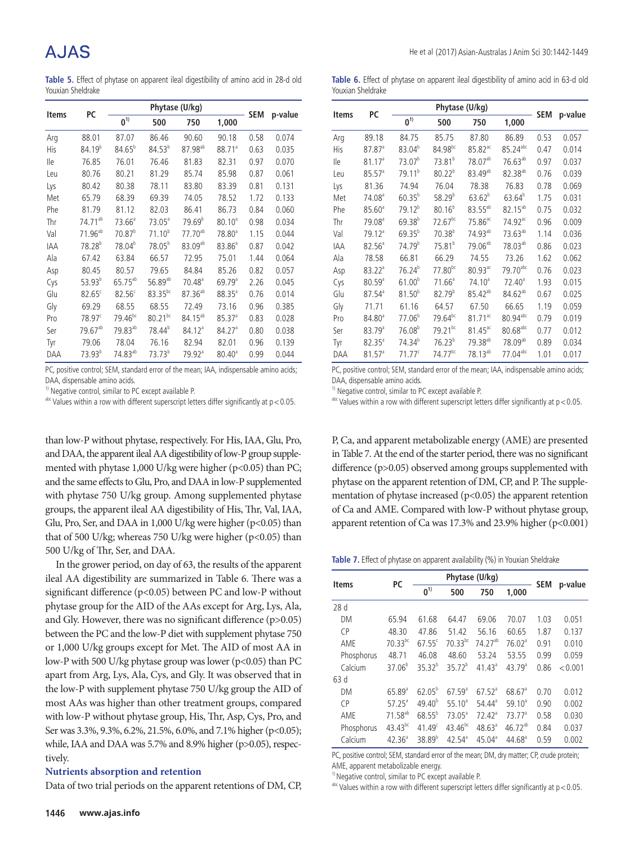**Table 5.** Effect of phytase on apparent ileal digestibility of amino acid in 28-d old Youxian Sheldrake

| <b>Items</b> | PC                  |                     |                     | Phytase (U/kg)       |                      |            |         |
|--------------|---------------------|---------------------|---------------------|----------------------|----------------------|------------|---------|
|              |                     | $\mathbf{0}^{1)}$   | 500                 | 750                  | 1,000                | <b>SEM</b> | p-value |
| Arg          | 88.01               | 87.07               | 86.46               | 90.60                | 90.18                | 0.58       | 0.074   |
| <b>His</b>   | $84.19^{b}$         | $84.65^{b}$         | $84.53^{b}$         | $87.98^{ab}$         | 88.71 <sup>a</sup>   | 0.63       | 0.035   |
| lle          | 76.85               | 76.01               | 76.46               | 81.83                | 82.31                | 0.97       | 0.070   |
| Leu          | 80.76               | 80.21               | 81.29               | 85.74                | 85.98                | 0.87       | 0.061   |
| Lys          | 80.42               | 80.38               | 78.11               | 83.80                | 83.39                | 0.81       | 0.131   |
| Met          | 65.79               | 68.39               | 69.39               | 74.05                | 78.52                | 1.72       | 0.133   |
| Phe          | 81.79               | 81.12               | 82.03               | 86.41                | 86.73                | 0.84       | 0.060   |
| Thr          | 74.71 <sup>ab</sup> | 73.66 <sup>a</sup>  | $73.05^{\circ}$     | 79.69 <sup>b</sup>   | 80.10 <sup>a</sup>   | 0.98       | 0.034   |
| Val          | 71.96 <sup>ab</sup> | 70.87 <sup>b</sup>  | $71.10^{b}$         | $77.70^{ab}$         | 78.80 <sup>a</sup>   | 1.15       | 0.044   |
| <b>IAA</b>   | $78.28^{b}$         | 78.04 <sup>b</sup>  | $78.05^{b}$         | $83.09^{ab}$         | $83.86^{\circ}$      | 0.87       | 0.042   |
| Ala          | 67.42               | 63.84               | 66.57               | 72.95                | 75.01                | 1.44       | 0.064   |
| Asp          | 80.45               | 80.57               | 79.65               | 84.84                | 85.26                | 0.82       | 0.057   |
| Cys          | $53.93^{b}$         | $65.75^{ab}$        | 56.89 <sup>ab</sup> | $70.48^{\circ}$      | $69.79$ <sup>a</sup> | 2.26       | 0.045   |
| Glu          | $82.65^{\circ}$     | $82.56^{\circ}$     | $83.35^{bc}$        | $87.36^{ab}$         | $88.35^{a}$          | 0.76       | 0.014   |
| Gly          | 69.29               | 68.55               | 68.55               | 72.49                | 73.16                | 0.96       | 0.385   |
| Pro          | 78.97 <sup>c</sup>  | $79.46^{bc}$        | $80.21^{bc}$        | $84.15^{ab}$         | 85.37 <sup>a</sup>   | 0.83       | 0.028   |
| Ser          | $79.67^{ab}$        | 79.83 <sup>ab</sup> | 78.44 <sup>b</sup>  | 84.12 <sup>a</sup>   | 84.27 <sup>a</sup>   | 0.80       | 0.038   |
| Tyr          | 79.06               | 78.04               | 76.16               | 82.94                | 82.01                | 0.96       | 0.139   |
| DAA          | $73.93^{b}$         | 74.83 <sup>ab</sup> | $73.73^{b}$         | $79.92$ <sup>a</sup> | $80.40^{\circ}$      | 0.99       | 0.044   |

PC, positive control; SEM, standard error of the mean; IAA, indispensable amino acids; DAA, dispensable amino acids.

 $1)$  Negative control, similar to PC except available P.

 $a$ <sup>bc</sup> Values within a row with different superscript letters differ significantly at  $p < 0.05$ .

than low-P without phytase, respectively. For His, IAA, Glu, Pro, and DAA, the apparent ileal AA digestibility of low-P group supplemented with phytase 1,000 U/kg were higher (p<0.05) than PC; and the same effects to Glu, Pro, and DAA in low-P supplemented with phytase 750 U/kg group. Among supplemented phytase groups, the apparent ileal AA digestibility of His, Thr, Val, IAA, Glu, Pro, Ser, and DAA in 1,000 U/kg were higher (p<0.05) than that of 500 U/kg; whereas 750 U/kg were higher ( $p$ <0.05) than 500 U/kg of Thr, Ser, and DAA.

In the grower period, on day of 63, the results of the apparent ileal AA digestibility are summarized in Table 6. There was a significant difference (p<0.05) between PC and low-P without phytase group for the AID of the AAs except for Arg, Lys, Ala, and Gly. However, there was no significant difference (p>0.05) between the PC and the low-P diet with supplement phytase 750 or 1,000 U/kg groups except for Met. The AID of most AA in low-P with 500 U/kg phytase group was lower (p<0.05) than PC apart from Arg, Lys, Ala, Cys, and Gly. It was observed that in the low-P with supplement phytase 750 U/kg group the AID of most AAs was higher than other treatment groups, compared with low-P without phytase group, His, Thr, Asp, Cys, Pro, and Ser was 3.3%, 9.3%, 6.2%, 21.5%, 6.0%, and 7.1% higher (p<0.05); while, IAA and DAA was 5.7% and 8.9% higher (p>0.05), respectively.

#### **Nutrients absorption and retention**

Data of two trial periods on the apparent retentions of DM, CP,

**Table 6.** Effect of phytase on apparent ileal digestibility of amino acid in 63-d old Youxian Sheldrake

| <b>Items</b> | РC                   |                    |                     |                       |                        |      |             |
|--------------|----------------------|--------------------|---------------------|-----------------------|------------------------|------|-------------|
|              |                      | $0^{1)}$           | 500                 | 750                   | 1,000                  |      | SEM p-value |
| Arg          | 89.18                | 84.75              | 85.75               | 87.80                 | 86.89                  | 0.53 | 0.057       |
| <b>His</b>   | $87.87$ <sup>a</sup> | 83.04 <sup>b</sup> | 84.98 <sup>bc</sup> | $85.82$ <sup>ac</sup> | 85.24 <sup>abc</sup>   | 0.47 | 0.014       |
| lle          | 81.17 <sup>a</sup>   | 73.07 <sup>b</sup> | $73.81^{b}$         | 78.07 <sup>ab</sup>   | 76.63 <sup>ab</sup>    | 0.97 | 0.037       |
| Leu          | $85.57^{\circ}$      | 79.11 <sup>b</sup> | $80.22^{b}$         | 83.49 <sup>ab</sup>   | 82.38 <sup>ab</sup>    | 0.76 | 0.039       |
| Lys          | 81.36                | 74.94              | 76.04               | 78.38                 | 76.83                  | 0.78 | 0.069       |
| Met          | 74.08 <sup>ª</sup>   | $60.35^{b}$        | $58.29^{b}$         | $63.62^{b}$           | $63.64^{b}$            | 1.75 | 0.031       |
| Phe          | 85.60 <sup>a</sup>   | $79.12^{b}$        | $80.16^{b}$         | $83.55^{ab}$          | $82.15^{ab}$           | 0.75 | 0.032       |
| Thr          | 79.08 <sup>a</sup>   | $69.38^{b}$        | $72.67^{bc}$        | $75.86$ <sup>ac</sup> | $74.92$ <sup>ac</sup>  | 0.96 | 0.009       |
| Val          | 79.12 <sup>a</sup>   | $69.35^{b}$        | $70.38^{b}$         | 74.93 <sup>ab</sup>   | 73.63 <sup>ab</sup>    | 1.14 | 0.036       |
| IAA          | $82.56^{\circ}$      | 74.79 <sup>b</sup> | $75.81^{b}$         | 79.06 <sup>ab</sup>   | 78.03 <sup>ab</sup>    | 0.86 | 0.023       |
| Ala          | 78.58                | 66.81              | 66.29               | 74.55                 | 73.26                  | 1.62 | 0.062       |
| Asp          | 83.22 <sup>a</sup>   | $76.24^{b}$        | $77.80^{bc}$        | $80.93$ <sup>ac</sup> | $79.70^{abc}$          | 0.76 | 0.023       |
| Cys          | $80.59$ <sup>a</sup> | 61.00 <sup>b</sup> | $71.66^a$           | 74.10 <sup>a</sup>    | 72.40 <sup>a</sup>     | 1.93 | 0.015       |
| Glu          | $87.54$ <sup>a</sup> | $81.50^{b}$        | $82.79^{b}$         | $85.42^{ab}$          | $84.62^{ab}$           | 0.67 | 0.025       |
| Gly          | 71.71                | 61.16              | 64.57               | 67.50                 | 66.65                  | 1.19 | 0.059       |
| Pro          | 84.80 <sup>a</sup>   | $77.06^{b}$        | $79.64^{bc}$        | $81.71$ <sup>ac</sup> | 80.94 <sup>abc</sup>   | 0.79 | 0.019       |
| Ser          | 83.79 <sup>a</sup>   | $76.08^{b}$        | 79.21bc             | $81.45$ <sup>ac</sup> | $80.68$ <sup>abc</sup> | 0.77 | 0.012       |
| Tyr          | $82.35^{\circ}$      | 74.34 <sup>b</sup> | $76.23^{b}$         | 79.38 <sup>ab</sup>   | 78.09ab                | 0.89 | 0.034       |
| DAA          | 81.57 <sup>a</sup>   | $71.77^c$          | 74.77bc             | $78.13^{ab}$          | $77.04^{abc}$          | 1.01 | 0.017       |

PC, positive control; SEM, standard error of the mean; IAA, indispensable amino acids; DAA, dispensable amino acids.

 $1)$  Negative control, similar to PC except available P.

 $a$ <sup>bc</sup> Values within a row with different superscript letters differ significantly at  $p < 0.05$ .

P, Ca, and apparent metabolizable energy (AME) are presented in Table 7. At the end of the starter period, there was no significant difference (p>0.05) observed among groups supplemented with phytase on the apparent retention of DM, CP, and P. The supplementation of phytase increased (p<0.05) the apparent retention of Ca and AME. Compared with low-P without phytase group, apparent retention of Ca was 17.3% and 23.9% higher (p<0.001)

Table 7. Effect of phytase on apparent availability (%) in Youxian Sheldrake

| <b>Items</b> | PC                  |                    | Phytase (U/kg)     | <b>SEM</b>         | p-value              |      |         |
|--------------|---------------------|--------------------|--------------------|--------------------|----------------------|------|---------|
|              |                     | $0^{1}$            | 500                | 750                | 1,000                |      |         |
| 28d          |                     |                    |                    |                    |                      |      |         |
| DM           | 65.94               | 61.68              | 64.47              | 69.06              | 70.07                | 1.03 | 0.051   |
| <b>CP</b>    | 48.30               | 47.86              | 51.42              | 56.16              | 60.65                | 1.87 | 0.137   |
| AME          | $70.33^{bc}$        | $67.55^c$          | $70.33^{bc}$       | 74.27ab            | 76.02 <sup>a</sup>   | 0.91 | 0.010   |
| Phosphorus   | 48.71               | 46.08              | 48.60              | 53.24              | 53.55                | 0.99 | 0.059   |
| Calcium      | $37.06^{b}$         | $35.32^{b}$        | $35.72^{b}$        | 41.43 <sup>a</sup> | 43.79 <sup>a</sup>   | 0.86 | < 0.001 |
| 63d          |                     |                    |                    |                    |                      |      |         |
| DM           | $65.89^{a}$         | $62.05^{b}$        | 67.59 <sup>a</sup> | $67.52^a$          | $68.67$ <sup>a</sup> | 0.70 | 0.012   |
| <b>CP</b>    | $57.25^a$           | $49.40^{b}$        | 55.10 <sup>a</sup> | 54.44 <sup>a</sup> | 59.10 <sup>a</sup>   | 0.90 | 0.002   |
| AME          | 71.58 <sup>ab</sup> | $68.55^{b}$        | $73.05^{\circ}$    | 72.42 <sup>a</sup> | 73.77 <sup>a</sup>   | 0.58 | 0.030   |
| Phosphorus   | $43.43^{bc}$        | 41.49 <sup>c</sup> | $43.46^{bc}$       | 48.63 <sup>a</sup> | $46.72^{ab}$         | 0.84 | 0.037   |
| Calcium      | $42.36^{a}$         | $38.89^{b}$        | $42.54^{\circ}$    | 45.04 <sup>a</sup> | $44.68^{\circ}$      | 0.59 | 0.002   |

PC, positive control; SEM, standard error of the mean; DM, dry matter; CP, crude protein; AME, apparent metabolizable energy.

<sup>1)</sup> Negative control, similar to PC except available P.

 $a$ <sup>hc</sup> Values within a row with different superscript letters differ significantly at  $p < 0.05$ .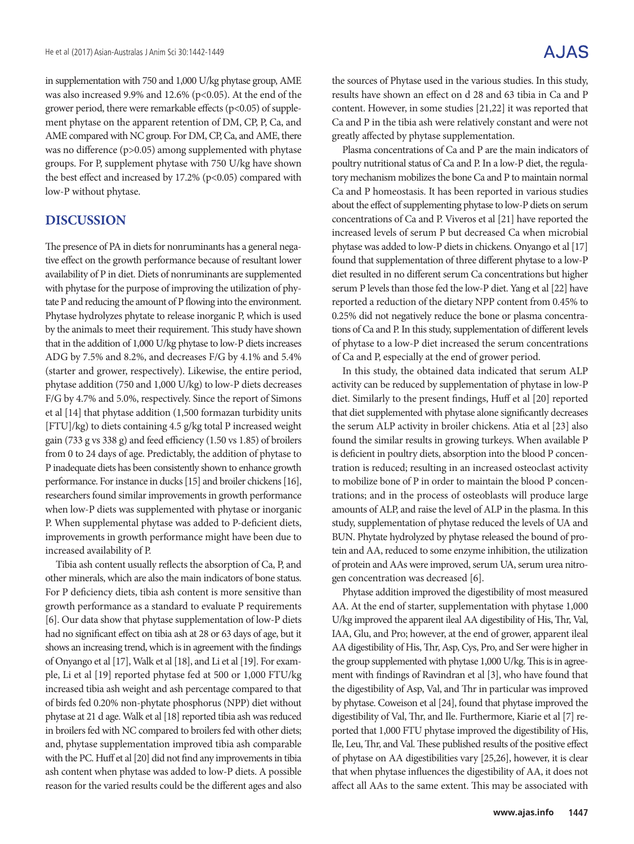in supplementation with 750 and 1,000 U/kg phytase group, AME was also increased 9.9% and 12.6% (p<0.05). At the end of the grower period, there were remarkable effects (p<0.05) of supplement phytase on the apparent retention of DM, CP, P, Ca, and AME compared with NC group. For DM, CP, Ca, and AME, there was no difference (p>0.05) among supplemented with phytase groups. For P, supplement phytase with 750 U/kg have shown the best effect and increased by 17.2% (p<0.05) compared with low-P without phytase.

## **DISCUSSION**

The presence of PA in diets for nonruminants has a general negative effect on the growth performance because of resultant lower availability of P in diet. Diets of nonruminants are supplemented with phytase for the purpose of improving the utilization of phytate P and reducing the amount of P flowing into the environment. Phytase hydrolyzes phytate to release inorganic P, which is used by the animals to meet their requirement. This study have shown that in the addition of 1,000 U/kg phytase to low-P diets increases ADG by 7.5% and 8.2%, and decreases F/G by 4.1% and 5.4% (starter and grower, respectively). Likewise, the entire period, phytase addition (750 and 1,000 U/kg) to low-P diets decreases F/G by 4.7% and 5.0%, respectively. Since the report of Simons et al [14] that phytase addition (1,500 formazan turbidity units [FTU]/kg) to diets containing 4.5 g/kg total P increased weight gain (733 g vs 338 g) and feed efficiency (1.50 vs 1.85) of broilers from 0 to 24 days of age. Predictably, the addition of phytase to P inadequate diets has been consistently shown to enhance growth performance. For instance in ducks [15] and broiler chickens [16], researchers found similar improvements in growth performance when low-P diets was supplemented with phytase or inorganic P. When supplemental phytase was added to P-deficient diets, improvements in growth performance might have been due to increased availability of P.

Tibia ash content usually reflects the absorption of Ca, P, and other minerals, which are also the main indicators of bone status. For P deficiency diets, tibia ash content is more sensitive than growth performance as a standard to evaluate P requirements [6]. Our data show that phytase supplementation of low-P diets had no significant effect on tibia ash at 28 or 63 days of age, but it shows an increasing trend, which is in agreement with the findings of Onyango et al [17], Walk et al [18], and Li et al [19]. For example, Li et al [19] reported phytase fed at 500 or 1,000 FTU/kg increased tibia ash weight and ash percentage compared to that of birds fed 0.20% non-phytate phosphorus (NPP) diet without phytase at 21 d age. Walk et al [18] reported tibia ash was reduced in broilers fed with NC compared to broilers fed with other diets; and, phytase supplementation improved tibia ash comparable with the PC. Huff et al [20] did not find any improvements in tibia ash content when phytase was added to low-P diets. A possible reason for the varied results could be the different ages and also

the sources of Phytase used in the various studies. In this study, results have shown an effect on d 28 and 63 tibia in Ca and P content. However, in some studies [21,22] it was reported that Ca and P in the tibia ash were relatively constant and were not greatly affected by phytase supplementation.

Plasma concentrations of Ca and P are the main indicators of poultry nutritional status of Ca and P. In a low-P diet, the regulatory mechanism mobilizes the bone Ca and P to maintain normal Ca and P homeostasis. It has been reported in various studies about the effect of supplementing phytase to low-P diets on serum concentrations of Ca and P. Viveros et al [21] have reported the increased levels of serum P but decreased Ca when microbial phytase was added to low-P diets in chickens. Onyango et al [17] found that supplementation of three different phytase to a low-P diet resulted in no different serum Ca concentrations but higher serum P levels than those fed the low-P diet. Yang et al [22] have reported a reduction of the dietary NPP content from 0.45% to 0.25% did not negatively reduce the bone or plasma concentrations of Ca and P. In this study, supplementation of different levels of phytase to a low-P diet increased the serum concentrations of Ca and P, especially at the end of grower period.

In this study, the obtained data indicated that serum ALP activity can be reduced by supplementation of phytase in low-P diet. Similarly to the present findings, Huff et al [20] reported that diet supplemented with phytase alone significantly decreases the serum ALP activity in broiler chickens. Atia et al [23] also found the similar results in growing turkeys. When available P is deficient in poultry diets, absorption into the blood P concentration is reduced; resulting in an increased osteoclast activity to mobilize bone of P in order to maintain the blood P concentrations; and in the process of osteoblasts will produce large amounts of ALP, and raise the level of ALP in the plasma. In this study, supplementation of phytase reduced the levels of UA and BUN. Phytate hydrolyzed by phytase released the bound of protein and AA, reduced to some enzyme inhibition, the utilization of protein and AAs were improved, serum UA, serum urea nitrogen concentration was decreased [6].

Phytase addition improved the digestibility of most measured AA. At the end of starter, supplementation with phytase 1,000 U/kg improved the apparent ileal AA digestibility of His, Thr, Val, IAA, Glu, and Pro; however, at the end of grower, apparent ileal AA digestibility of His, Thr, Asp, Cys, Pro, and Ser were higher in the group supplemented with phytase 1,000 U/kg. This is in agreement with findings of Ravindran et al [3], who have found that the digestibility of Asp, Val, and Thr in particular was improved by phytase. Coweison et al [24], found that phytase improved the digestibility of Val, Thr, and Ile. Furthermore, Kiarie et al [7] reported that 1,000 FTU phytase improved the digestibility of His, Ile, Leu, Thr, and Val. These published results of the positive effect of phytase on AA digestibilities vary [25,26], however, it is clear that when phytase influences the digestibility of AA, it does not affect all AAs to the same extent. This may be associated with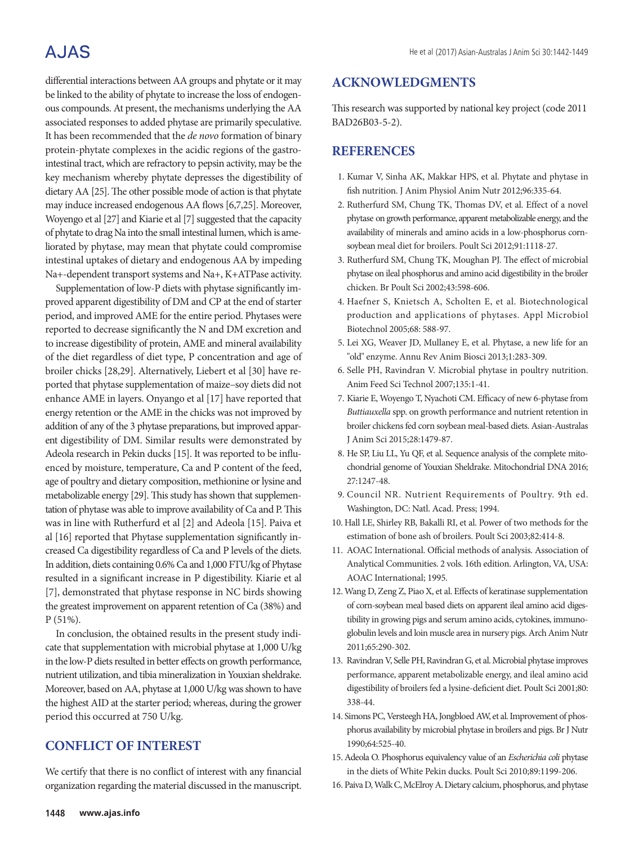# A.JAS

differential interactions between AA groups and phytate or it may be linked to the ability of phytate to increase the loss of endogenous compounds. At present, the mechanisms underlying the AA associated responses to added phytase are primarily speculative. It has been recommended that the *de novo* formation of binary protein-phytate complexes in the acidic regions of the gastrointestinal tract, which are refractory to pepsin activity, may be the key mechanism whereby phytate depresses the digestibility of dietary AA [25]. The other possible mode of action is that phytate may induce increased endogenous AA flows [6,7,25]. Moreover, Woyengo et al [27] and Kiarie et al [7] suggested that the capacity of phytate to drag Na into the small intestinal lumen, which is ameliorated by phytase, may mean that phytate could compromise intestinal uptakes of dietary and endogenous AA by impeding Na+-dependent transport systems and Na+, K+ATPase activity.

Supplementation of low-P diets with phytase significantly improved apparent digestibility of DM and CP at the end of starter period, and improved AME for the entire period. Phytases were reported to decrease significantly the N and DM excretion and to increase digestibility of protein, AME and mineral availability of the diet regardless of diet type, P concentration and age of broiler chicks [28,29]. Alternatively, Liebert et al [30] have reported that phytase supplementation of maize–soy diets did not enhance AME in layers. Onyango et al [17] have reported that energy retention or the AME in the chicks was not improved by addition of any of the 3 phytase preparations, but improved apparent digestibility of DM. Similar results were demonstrated by Adeola research in Pekin ducks [15]. It was reported to be influenced by moisture, temperature, Ca and P content of the feed, age of poultry and dietary composition, methionine or lysine and metabolizable energy [29]. This study has shown that supplementation of phytase was able to improve availability of Ca and P. This was in line with Rutherfurd et al [2] and Adeola [15]. Paiva et al [16] reported that Phytase supplementation significantly increased Ca digestibility regardless of Ca and P levels of the diets. In addition, diets containing 0.6% Ca and 1,000 FTU/kg of Phytase resulted in a significant increase in P digestibility. Kiarie et al [7], demonstrated that phytase response in NC birds showing the greatest improvement on apparent retention of Ca (38%) and P (51%).

In conclusion, the obtained results in the present study indicate that supplementation with microbial phytase at 1,000 U/kg in the low-P diets resulted in better effects on growth performance, nutrient utilization, and tibia mineralization in Youxian sheldrake. Moreover, based on AA, phytase at 1,000 U/kg was shown to have the highest AID at the starter period; whereas, during the grower period this occurred at 750 U/kg.

## **CONFLICT OF INTEREST**

We certify that there is no conflict of interest with any financial organization regarding the material discussed in the manuscript.

This research was supported by national key project (code 2011 BAD26B03-5-2).

### **REFERENCES**

- 1. Kumar V, Sinha AK, Makkar HPS, et al. Phytate and phytase in fish nutrition. J Anim Physiol Anim Nutr 2012;96:335-64.
- 2. Rutherfurd SM, Chung TK, Thomas DV, et al. Effect of a novel phytase on growth performance, apparent metabolizable energy, and the availability of minerals and amino acids in a low-phosphorus cornsoybean meal diet for broilers. Poult Sci 2012;91:1118-27.
- 3. Rutherfurd SM, Chung TK, Moughan PJ. The effect of microbial phytase on ileal phosphorus and amino acid digestibility in the broiler chicken. Br Poult Sci 2002;43:598-606.
- 4. Haefner S, Knietsch A, Scholten E, et al. Biotechnological production and applications of phytases. Appl Microbiol Biotechnol 2005;68: 588-97.
- 5. Lei XG, Weaver JD, Mullaney E, et al. Phytase, a new life for an "old" enzyme. Annu Rev Anim Biosci 2013;1:283-309.
- 6. Selle PH, Ravindran V. Microbial phytase in poultry nutrition. Anim Feed Sci Technol 2007;135:1-41.
- 7. Kiarie E, Woyengo T, Nyachoti CM. Efficacy of new 6-phytase from *Buttiauxella* spp. on growth performance and nutrient retention in broiler chickens fed corn soybean meal-based diets. Asian-Australas J Anim Sci 2015;28:1479-87.
- 8. He SP, Liu LL, Yu QF, et al. Sequence analysis of the complete mitochondrial genome of Youxian Sheldrake. Mitochondrial DNA 2016; 27:1247-48.
- 9. Council NR. Nutrient Requirements of Poultry. 9th ed. Washington, DC: Natl. Acad. Press; 1994.
- 10. Hall LE, Shirley RB, Bakalli RI, et al. Power of two methods for the estimation of bone ash of broilers. Poult Sci 2003;82:414-8.
- 11. AOAC International. Official methods of analysis. Association of Analytical Communities. 2 vols. 16th edition. Arlington, VA, USA: AOAC International; 1995.
- 12. Wang D, Zeng Z, Piao X, et al. Effects of keratinase supplementation of corn-soybean meal based diets on apparent ileal amino acid digestibility in growing pigs and serum amino acids, cytokines, immunoglobulin levels and loin muscle area in nursery pigs. Arch Anim Nutr 2011;65:290-302.
- 13. Ravindran V, Selle PH, Ravindran G, et al. Microbial phytase improves performance, apparent metabolizable energy, and ileal amino acid digestibility of broilers fed a lysine-deficient diet. Poult Sci 2001;80: 338-44.
- 14. Simons PC, Versteegh HA, Jongbloed AW, et al. Improvement of phosphorus availability by microbial phytase in broilers and pigs. Br J Nutr 1990;64:525-40.
- 15.Adeola O. Phosphorus equivalency value of an *Escherichia coli* phytase in the diets of White Pekin ducks. Poult Sci 2010;89:1199-206.
- 16. Paiva D, Walk C, McElroy A. Dietary calcium, phosphorus, and phytase